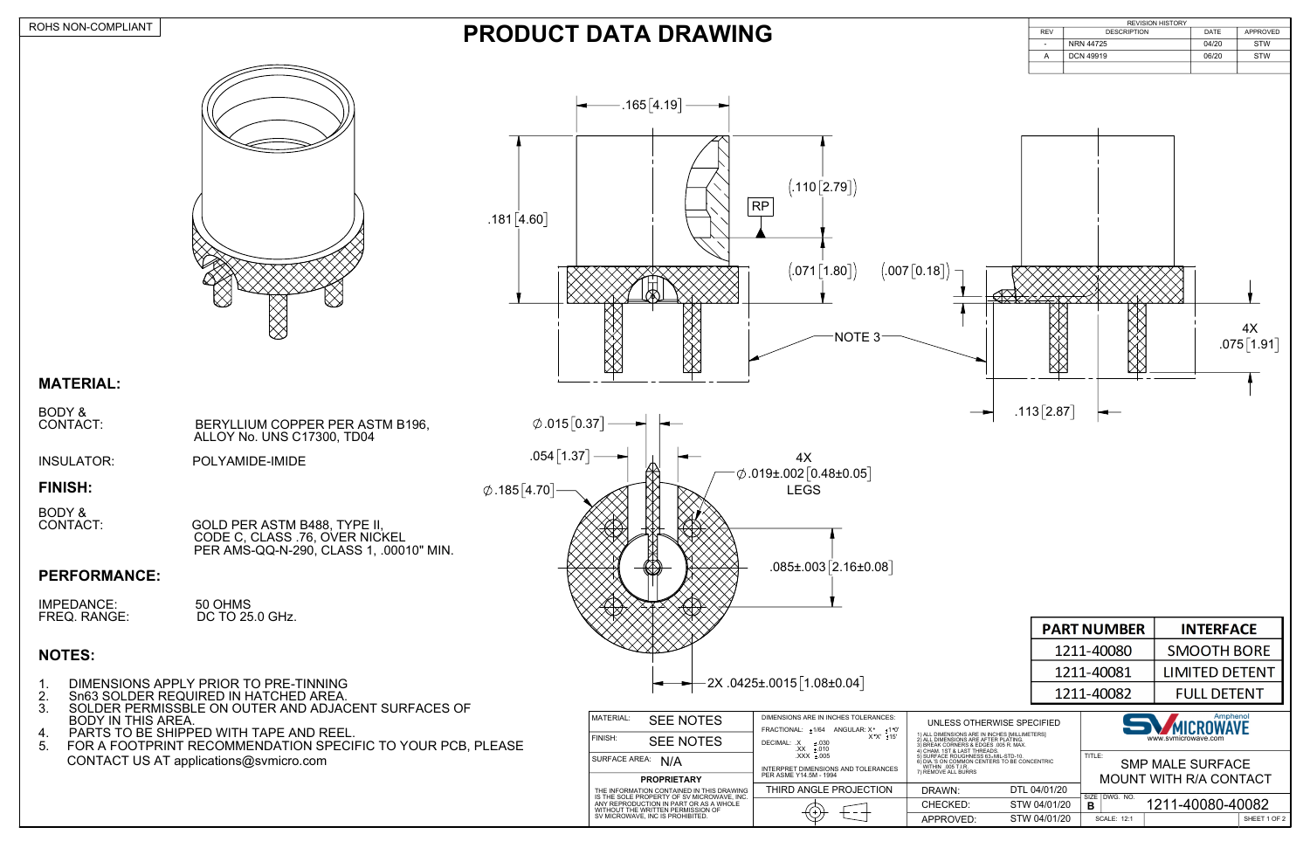| MATERIAL:<br>FINISH:                              | <b>SEE NOTES</b><br><b>SEE NOTES</b>      | DIMENSIONS ARE IN INCHES TOLERANCES:<br>FRACTIONAL: +1/64<br>+1 °0'<br>ANGULAR: X <sup>°</sup><br>$X^{\circ}X'$ ± 15'<br>DECIMAL: .X<br>±.030<br>$XX \pm .010$ | UNLESS OTHERWISE SPECIFIED<br>1) ALL DIMENSIONS ARE IN INCHES [MILLIMETERS]<br>2) ALL DIMENSIONS ARE AFTER PLATING.<br>3) BREAK CORNERS & EDGES .005 R. MAX.      |              | Amphenol<br><b>SV</b><br>MICROWAVE<br>www.symicrowave.com |             |                                                        |            |
|---------------------------------------------------|-------------------------------------------|----------------------------------------------------------------------------------------------------------------------------------------------------------------|-------------------------------------------------------------------------------------------------------------------------------------------------------------------|--------------|-----------------------------------------------------------|-------------|--------------------------------------------------------|------------|
| <b>SURFACE AREA:</b><br>N/A<br><b>PROPRIETARY</b> |                                           | $XXX + 005$<br>INTERPRET DIMENSIONS AND TOLERANCES<br>PER ASME Y14.5M - 1994                                                                                   | 4) CHAM, 1ST & LAST THREADS.<br>5) SURFACE ROUGHNESS 63. MIL-STD-10.<br>6) DIA.'S ON COMMON CENTERS TO BE CONCENTRIC<br>WITHIN .005 T.I.R.<br>7) REMOVE ALL BURRS |              | TITLE:                                                    |             | <b>SMP MALE SURFACE</b><br><b>MOUNT WITH R/A CONTA</b> |            |
|                                                   | THE INFORMATION CONTAINED IN THIS DRAWING | THIRD ANGLE PROJECTION                                                                                                                                         | DRAWN:                                                                                                                                                            | DTL 04/01/20 |                                                           |             |                                                        |            |
|                                                   |                                           | IS THE SOLE PROPERTY OF SV MICROWAVE. INC.<br>ANY REPRODUCTION IN PART OR AS A WHOLE<br>WITHOUT THE WRITTEN PERMISSION OF                                      | CHECKED:                                                                                                                                                          | STW 04/01/20 | SIZE I DWG. NO.<br>в                                      |             | 1211-40080-400                                         |            |
|                                                   | SV MICROWAVE, INC IS PROHIBITED.          |                                                                                                                                                                | APPROVED:                                                                                                                                                         | STW 04/01/20 |                                                           | SCALE: 12:1 |                                                        | <b>SHI</b> |

|                         | <b>PART NUMBER</b> | <b>INTERFACE</b>      |  |  |  |
|-------------------------|--------------------|-----------------------|--|--|--|
|                         | 1211-40080         | <b>SMOOTH BORE</b>    |  |  |  |
|                         | 1211-40081         | <b>LIMITED DETENT</b> |  |  |  |
|                         | 1211-40082         | <b>FULL DETENT</b>    |  |  |  |
| Amphenol<br>F SPFCIFIFD |                    |                       |  |  |  |

#### ROHS NON-COMPLIANT



### **MATERIAL:**

| BODY &   |                                 |
|----------|---------------------------------|
| CONTACT: | BERYLLIUM COPPER PER ASTM B196, |
|          | ALLOY No. UNS C17300, TD04      |

INSULATOR: POLYAMIDE-IMIDE

#### **FINISH:**

BODY &<br>CONTACT:

CONTACT: GOLD PER ASTM B488, TYPE II, CODE C, CLASS .76, OVER NICKEL PER AMS-QQ-N-290, CLASS 1, .00010" MIN.



#### **PERFORMANCE:**

| IMPEDANCE:          | 50 OHMS         |
|---------------------|-----------------|
| <b>FREQ. RANGE:</b> | DC TO 25.0 GHz. |

## **NOTES:**

# **PRODUCT DATA DRAWING**



| UNLESS OTHERWISE SPECIFIED<br>1) ALL DIMENSIONS ARE IN INCHES [MILLIMETERS]<br>2) ALL DIMENSIONS ARE AFTER PLATING.<br>3) BREAK CORNERS & EDGES .005 R. MAX.      |              |                                   | Amphenol<br><b>SVAICROWAVE</b><br>www.symicrowave.com |                  |              |  |
|-------------------------------------------------------------------------------------------------------------------------------------------------------------------|--------------|-----------------------------------|-------------------------------------------------------|------------------|--------------|--|
| 4) CHAM. 1ST & LAST THREADS.<br>5) SURFACE ROUGHNESS 63. MIL-STD-10.<br>6) DIA.'S ON COMMON CENTERS TO BE CONCENTRIC<br>WITHIN .005 T.I.R.<br>7) REMOVE ALL BURRS |              | TITLE:<br><b>SMP MALE SURFACE</b> |                                                       |                  |              |  |
|                                                                                                                                                                   |              | MOUNT WITH R/A CONTACT            |                                                       |                  |              |  |
| DRAWN:                                                                                                                                                            | DTL 04/01/20 | SIZE                              | DWG. NO.                                              |                  |              |  |
| CHECKED:                                                                                                                                                          | STW 04/01/20 | В                                 |                                                       | 1211-40080-40082 |              |  |
| APPROVED:                                                                                                                                                         | STW 04/01/20 |                                   | <b>SCALE: 12:1</b>                                    |                  | SHEET 1 OF 2 |  |

- 1. DIMENSIONS APPLY PRIOR TO PRE-TINNING
- 2. Sn63 SOLDER REQUIRED IN HATCHED AREA.
- 3. SOLDER PERMISSBLE ON OUTER AND ADJACENT SURFACES OF BODY IN THIS AREA. SOLDER PERMISSBLE ON OUTER AND ADJACENT SURFACES OF THE MATERIAL: SEE NOTES<br>BODY IN THIS AREA.
- 4. PARTS TO BE SHIPPED WITH TAPE AND REEL.
- 5. FOR A FOOTPRINT RECOMMENDATION SPECIFIC TO YOUR PCB, PLEASE CONTACT US AT applications@svmicro.com